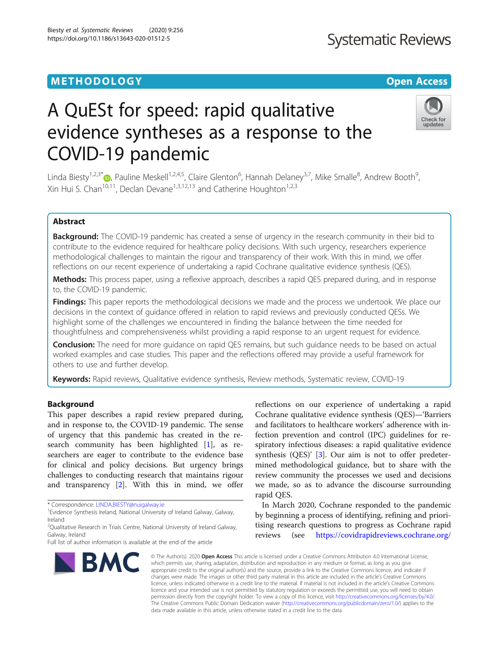Biesty et al. Systematic Reviews (2020) 9:256 https://doi.org/10.1186/s13643-020-01512-5

# A QuESt for speed: rapid qualitative evidence syntheses as a response to the COVID-19 pandemic



Linda Biesty<sup>1,2,3[\\*](http://orcid.org/0000-0002-1108-1518)</sup>®, Pauline Meskell<sup>1,2,4,5</sup>, Claire Glenton<sup>6</sup>, Hannah Delaney<sup>3,7</sup>, Mike Smalle<sup>8</sup>, Andrew Booth<sup>9</sup> , Xin Hui S. Chan<sup>10,11</sup>, Declan Devane<sup>1,3,12,13</sup> and Catherine Houghton<sup>1,2,3</sup>

# Abstract

Background: The COVID-19 pandemic has created a sense of urgency in the research community in their bid to contribute to the evidence required for healthcare policy decisions. With such urgency, researchers experience methodological challenges to maintain the rigour and transparency of their work. With this in mind, we offer reflections on our recent experience of undertaking a rapid Cochrane qualitative evidence synthesis (QES).

Methods: This process paper, using a reflexive approach, describes a rapid QES prepared during, and in response to, the COVID-19 pandemic.

**Findings:** This paper reports the methodological decisions we made and the process we undertook. We place our decisions in the context of guidance offered in relation to rapid reviews and previously conducted QESs. We highlight some of the challenges we encountered in finding the balance between the time needed for thoughtfulness and comprehensiveness whilst providing a rapid response to an urgent request for evidence.

**Conclusion:** The need for more guidance on rapid QES remains, but such guidance needs to be based on actual worked examples and case studies. This paper and the reflections offered may provide a useful framework for others to use and further develop.

Keywords: Rapid reviews, Qualitative evidence synthesis, Review methods, Systematic review, COVID-19

# Background

This paper describes a rapid review prepared during, and in response to, the COVID-19 pandemic. The sense of urgency that this pandemic has created in the research community has been highlighted [\[1](#page-4-0)], as researchers are eager to contribute to the evidence base for clinical and policy decisions. But urgency brings challenges to conducting research that maintains rigour and transparency [\[2](#page-4-0)]. With this in mind, we offer

\* Correspondence: [LINDA.BIESTY@nuigalway.ie](mailto:LINDA.BIESTY@nuigalway.ie) <sup>1</sup>

<sup>1</sup> Evidence Synthesis Ireland, National University of Ireland Galway, Galway, Ireland

<sup>2</sup>Qualitative Research in Trials Centre, National University of Ireland Galway, Galway, Ireland

Full list of author information is available at the end of the article



reflections on our experience of undertaking a rapid Cochrane qualitative evidence synthesis (QES)—'Barriers and facilitators to healthcare workers' adherence with infection prevention and control (IPC) guidelines for respiratory infectious diseases: a rapid qualitative evidence synthesis (QES)' [[3\]](#page-4-0). Our aim is not to offer predetermined methodological guidance, but to share with the review community the processes we used and decisions we made, so as to advance the discourse surrounding rapid QES.

In March 2020, Cochrane responded to the pandemic by beginning a process of identifying, refining and prioritising research questions to progress as Cochrane rapid reviews (see [https://covidrapidreviews.cochrane.org/](https://covidrapidreviews.cochrane.org/prioritization)

© The Author(s), 2020 **Open Access** This article is licensed under a Creative Commons Attribution 4.0 International License, which permits use, sharing, adaptation, distribution and reproduction in any medium or format, as long as you give appropriate credit to the original author(s) and the source, provide a link to the Creative Commons licence, and indicate if changes were made. The images or other third party material in this article are included in the article's Creative Commons licence, unless indicated otherwise in a credit line to the material. If material is not included in the article's Creative Commons licence and your intended use is not permitted by statutory regulation or exceeds the permitted use, you will need to obtain permission directly from the copyright holder. To view a copy of this licence, visit [http://creativecommons.org/licenses/by/4.0/.](http://creativecommons.org/licenses/by/4.0/) The Creative Commons Public Domain Dedication waiver [\(http://creativecommons.org/publicdomain/zero/1.0/](http://creativecommons.org/publicdomain/zero/1.0/)) applies to the data made available in this article, unless otherwise stated in a credit line to the data.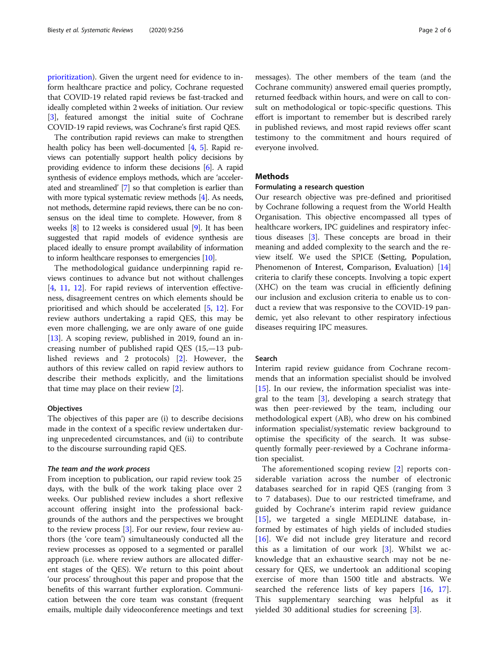[prioritization](https://covidrapidreviews.cochrane.org/prioritization)). Given the urgent need for evidence to inform healthcare practice and policy, Cochrane requested that COVID-19 related rapid reviews be fast-tracked and ideally completed within 2 weeks of initiation. Our review [[3\]](#page-4-0), featured amongst the initial suite of Cochrane COVID-19 rapid reviews, was Cochrane's first rapid QES.

The contribution rapid reviews can make to strengthen health policy has been well-documented [[4](#page-4-0), [5](#page-5-0)]. Rapid reviews can potentially support health policy decisions by providing evidence to inform these decisions [[6](#page-5-0)]. A rapid synthesis of evidence employs methods, which are 'accelerated and streamlined' [[7](#page-5-0)] so that completion is earlier than with more typical systematic review methods [\[4\]](#page-4-0). As needs, not methods, determine rapid reviews, there can be no consensus on the ideal time to complete. However, from 8 weeks [\[8\]](#page-5-0) to 12 weeks is considered usual [[9](#page-5-0)]. It has been suggested that rapid models of evidence synthesis are placed ideally to ensure prompt availability of information to inform healthcare responses to emergencies [\[10\]](#page-5-0).

The methodological guidance underpinning rapid reviews continues to advance but not without challenges [[4,](#page-4-0) [11](#page-5-0), [12\]](#page-5-0). For rapid reviews of intervention effectiveness, disagreement centres on which elements should be prioritised and which should be accelerated [[5,](#page-5-0) [12](#page-5-0)]. For review authors undertaking a rapid QES, this may be even more challenging, we are only aware of one guide [[13\]](#page-5-0). A scoping review, published in 2019, found an increasing number of published rapid QES (15,—13 published reviews and 2 protocols) [\[2](#page-4-0)]. However, the authors of this review called on rapid review authors to describe their methods explicitly, and the limitations that time may place on their review [[2\]](#page-4-0).

# **Objectives**

The objectives of this paper are (i) to describe decisions made in the context of a specific review undertaken during unprecedented circumstances, and (ii) to contribute to the discourse surrounding rapid QES.

# The team and the work process

From inception to publication, our rapid review took 25 days, with the bulk of the work taking place over 2 weeks. Our published review includes a short reflexive account offering insight into the professional backgrounds of the authors and the perspectives we brought to the review process [\[3](#page-4-0)]. For our review, four review authors (the 'core team') simultaneously conducted all the review processes as opposed to a segmented or parallel approach (i.e. where review authors are allocated different stages of the QES). We return to this point about 'our process' throughout this paper and propose that the benefits of this warrant further exploration. Communication between the core team was constant (frequent emails, multiple daily videoconference meetings and text messages). The other members of the team (and the Cochrane community) answered email queries promptly, returned feedback within hours, and were on call to consult on methodological or topic-specific questions. This effort is important to remember but is described rarely in published reviews, and most rapid reviews offer scant testimony to the commitment and hours required of everyone involved.

# **Methods**

#### Formulating a research question

Our research objective was pre-defined and prioritised by Cochrane following a request from the World Health Organisation. This objective encompassed all types of healthcare workers, IPC guidelines and respiratory infectious diseases [\[3](#page-4-0)]. These concepts are broad in their meaning and added complexity to the search and the review itself. We used the SPICE (Setting, Population, Phenomenon of Interest, Comparison, Evaluation) [[14](#page-5-0)] criteria to clarify these concepts. Involving a topic expert (XHC) on the team was crucial in efficiently defining our inclusion and exclusion criteria to enable us to conduct a review that was responsive to the COVID-19 pandemic, yet also relevant to other respiratory infectious diseases requiring IPC measures.

### Search

Interim rapid review guidance from Cochrane recommends that an information specialist should be involved [[15\]](#page-5-0). In our review, the information specialist was integral to the team  $\lceil 3 \rceil$ , developing a search strategy that was then peer-reviewed by the team, including our methodological expert (AB), who drew on his combined information specialist/systematic review background to optimise the specificity of the search. It was subsequently formally peer-reviewed by a Cochrane information specialist.

The aforementioned scoping review [\[2\]](#page-4-0) reports considerable variation across the number of electronic databases searched for in rapid QES (ranging from 3 to 7 databases). Due to our restricted timeframe, and guided by Cochrane's interim rapid review guidance [[15\]](#page-5-0), we targeted a single MEDLINE database, informed by estimates of high yields of included studies [[16\]](#page-5-0). We did not include grey literature and record this as a limitation of our work [\[3](#page-4-0)]. Whilst we acknowledge that an exhaustive search may not be necessary for QES, we undertook an additional scoping exercise of more than 1500 title and abstracts. We searched the reference lists of key papers [[16,](#page-5-0) [17](#page-5-0)]. This supplementary searching was helpful as it yielded 30 additional studies for screening [[3\]](#page-4-0).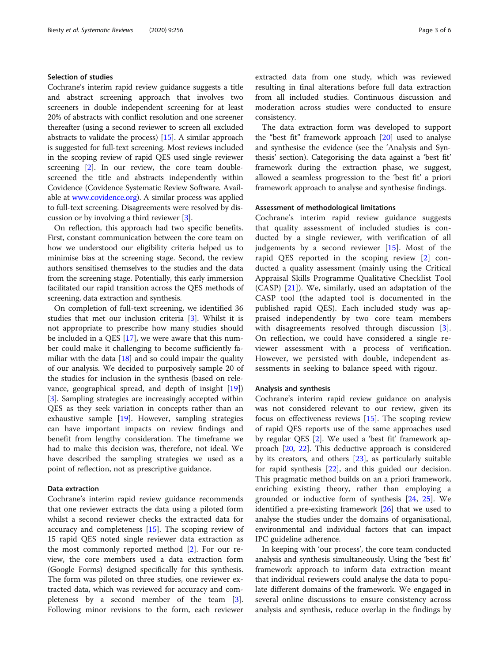# Selection of studies

Cochrane's interim rapid review guidance suggests a title and abstract screening approach that involves two screeners in double independent screening for at least 20% of abstracts with conflict resolution and one screener thereafter (using a second reviewer to screen all excluded abstracts to validate the process) [\[15\]](#page-5-0). A similar approach is suggested for full-text screening. Most reviews included in the scoping review of rapid QES used single reviewer screening [\[2](#page-4-0)]. In our review, the core team doublescreened the title and abstracts independently within Covidence (Covidence Systematic Review Software. Available at [www.covidence.org](http://www.covidence.org)). A similar process was applied to full-text screening. Disagreements were resolved by discussion or by involving a third reviewer [\[3\]](#page-4-0).

On reflection, this approach had two specific benefits. First, constant communication between the core team on how we understood our eligibility criteria helped us to minimise bias at the screening stage. Second, the review authors sensitised themselves to the studies and the data from the screening stage. Potentially, this early immersion facilitated our rapid transition across the QES methods of screening, data extraction and synthesis.

On completion of full-text screening, we identified 36 studies that met our inclusion criteria [\[3](#page-4-0)]. Whilst it is not appropriate to prescribe how many studies should be included in a QES [[17\]](#page-5-0), we were aware that this number could make it challenging to become sufficiently familiar with the data  $[18]$  $[18]$  $[18]$  and so could impair the quality of our analysis. We decided to purposively sample 20 of the studies for inclusion in the synthesis (based on relevance, geographical spread, and depth of insight [\[19](#page-5-0)]) [[3\]](#page-4-0). Sampling strategies are increasingly accepted within QES as they seek variation in concepts rather than an exhaustive sample [\[19](#page-5-0)]. However, sampling strategies can have important impacts on review findings and benefit from lengthy consideration. The timeframe we had to make this decision was, therefore, not ideal. We have described the sampling strategies we used as a point of reflection, not as prescriptive guidance.

# Data extraction

Cochrane's interim rapid review guidance recommends that one reviewer extracts the data using a piloted form whilst a second reviewer checks the extracted data for accuracy and completeness [\[15](#page-5-0)]. The scoping review of 15 rapid QES noted single reviewer data extraction as the most commonly reported method [\[2](#page-4-0)]. For our review, the core members used a data extraction form (Google Forms) designed specifically for this synthesis. The form was piloted on three studies, one reviewer extracted data, which was reviewed for accuracy and completeness by a second member of the team [\[3](#page-4-0)]. Following minor revisions to the form, each reviewer extracted data from one study, which was reviewed resulting in final alterations before full data extraction from all included studies. Continuous discussion and moderation across studies were conducted to ensure consistency.

The data extraction form was developed to support the "best fit" framework approach [\[20](#page-5-0)] used to analyse and synthesise the evidence (see the 'Analysis and Synthesis' section). Categorising the data against a 'best fit' framework during the extraction phase, we suggest, allowed a seamless progression to the 'best fit' a priori framework approach to analyse and synthesise findings.

### Assessment of methodological limitations

Cochrane's interim rapid review guidance suggests that quality assessment of included studies is conducted by a single reviewer, with verification of all judgements by a second reviewer [[15\]](#page-5-0). Most of the rapid QES reported in the scoping review [[2\]](#page-4-0) conducted a quality assessment (mainly using the Critical Appraisal Skills Programme Qualitative Checklist Tool (CASP) [[21](#page-5-0)]). We, similarly, used an adaptation of the CASP tool (the adapted tool is documented in the published rapid QES). Each included study was appraised independently by two core team members with disagreements resolved through discussion [\[3](#page-4-0)]. On reflection, we could have considered a single reviewer assessment with a process of verification. However, we persisted with double, independent assessments in seeking to balance speed with rigour.

### Analysis and synthesis

Cochrane's interim rapid review guidance on analysis was not considered relevant to our review, given its focus on effectiveness reviews [\[15](#page-5-0)]. The scoping review of rapid QES reports use of the same approaches used by regular QES [\[2](#page-4-0)]. We used a 'best fit' framework approach [\[20](#page-5-0), [22](#page-5-0)]. This deductive approach is considered by its creators, and others [\[23](#page-5-0)], as particularly suitable for rapid synthesis [[22\]](#page-5-0), and this guided our decision. This pragmatic method builds on an a priori framework, enriching existing theory, rather than employing a grounded or inductive form of synthesis [\[24](#page-5-0), [25\]](#page-5-0). We identified a pre-existing framework [\[26\]](#page-5-0) that we used to analyse the studies under the domains of organisational, environmental and individual factors that can impact IPC guideline adherence.

In keeping with 'our process', the core team conducted analysis and synthesis simultaneously. Using the 'best fit' framework approach to inform data extraction meant that individual reviewers could analyse the data to populate different domains of the framework. We engaged in several online discussions to ensure consistency across analysis and synthesis, reduce overlap in the findings by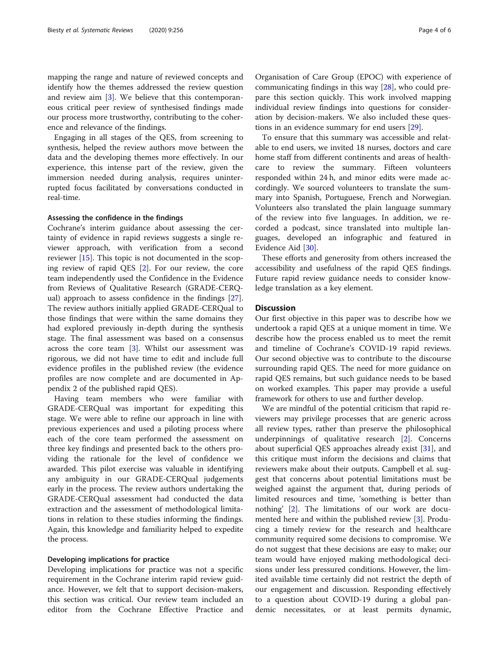mapping the range and nature of reviewed concepts and identify how the themes addressed the review question and review aim [[3\]](#page-4-0). We believe that this contemporaneous critical peer review of synthesised findings made our process more trustworthy, contributing to the coherence and relevance of the findings.

Engaging in all stages of the QES, from screening to synthesis, helped the review authors move between the data and the developing themes more effectively. In our experience, this intense part of the review, given the immersion needed during analysis, requires uninterrupted focus facilitated by conversations conducted in real-time.

# Assessing the confidence in the findings

Cochrane's interim guidance about assessing the certainty of evidence in rapid reviews suggests a single reviewer approach, with verification from a second reviewer [[15](#page-5-0)]. This topic is not documented in the scoping review of rapid QES [[2\]](#page-4-0). For our review, the core team independently used the Confidence in the Evidence from Reviews of Qualitative Research (GRADE-CERQual) approach to assess confidence in the findings [\[27](#page-5-0)]. The review authors initially applied GRADE-CERQual to those findings that were within the same domains they had explored previously in-depth during the synthesis stage. The final assessment was based on a consensus across the core team [\[3](#page-4-0)]. Whilst our assessment was rigorous, we did not have time to edit and include full evidence profiles in the published review (the evidence profiles are now complete and are documented in Appendix 2 of the published rapid QES).

Having team members who were familiar with GRADE-CERQual was important for expediting this stage. We were able to refine our approach in line with previous experiences and used a piloting process where each of the core team performed the assessment on three key findings and presented back to the others providing the rationale for the level of confidence we awarded. This pilot exercise was valuable in identifying any ambiguity in our GRADE-CERQual judgements early in the process. The review authors undertaking the GRADE-CERQual assessment had conducted the data extraction and the assessment of methodological limitations in relation to these studies informing the findings. Again, this knowledge and familiarity helped to expedite the process.

# Developing implications for practice

Developing implications for practice was not a specific requirement in the Cochrane interim rapid review guidance. However, we felt that to support decision-makers, this section was critical. Our review team included an editor from the Cochrane Effective Practice and

Organisation of Care Group (EPOC) with experience of communicating findings in this way [[28](#page-5-0)], who could prepare this section quickly. This work involved mapping individual review findings into questions for consideration by decision-makers. We also included these questions in an evidence summary for end users [\[29\]](#page-5-0).

To ensure that this summary was accessible and relatable to end users, we invited 18 nurses, doctors and care home staff from different continents and areas of healthcare to review the summary. Fifteen volunteers responded within 24 h, and minor edits were made accordingly. We sourced volunteers to translate the summary into Spanish, Portuguese, French and Norwegian. Volunteers also translated the plain language summary of the review into five languages. In addition, we recorded a podcast, since translated into multiple languages, developed an infographic and featured in Evidence Aid [[30\]](#page-5-0).

These efforts and generosity from others increased the accessibility and usefulness of the rapid QES findings. Future rapid review guidance needs to consider knowledge translation as a key element.

# **Discussion**

Our first objective in this paper was to describe how we undertook a rapid QES at a unique moment in time. We describe how the process enabled us to meet the remit and timeline of Cochrane's COVID-19 rapid reviews. Our second objective was to contribute to the discourse surrounding rapid QES. The need for more guidance on rapid QES remains, but such guidance needs to be based on worked examples. This paper may provide a useful framework for others to use and further develop.

We are mindful of the potential criticism that rapid reviewers may privilege processes that are generic across all review types, rather than preserve the philosophical underpinnings of qualitative research [[2\]](#page-4-0). Concerns about superficial QES approaches already exist [\[31\]](#page-5-0), and this critique must inform the decisions and claims that reviewers make about their outputs. Campbell et al. suggest that concerns about potential limitations must be weighed against the argument that, during periods of limited resources and time, 'something is better than nothing' [[2\]](#page-4-0). The limitations of our work are documented here and within the published review [[3\]](#page-4-0). Producing a timely review for the research and healthcare community required some decisions to compromise. We do not suggest that these decisions are easy to make; our team would have enjoyed making methodological decisions under less pressured conditions. However, the limited available time certainly did not restrict the depth of our engagement and discussion. Responding effectively to a question about COVID-19 during a global pandemic necessitates, or at least permits dynamic,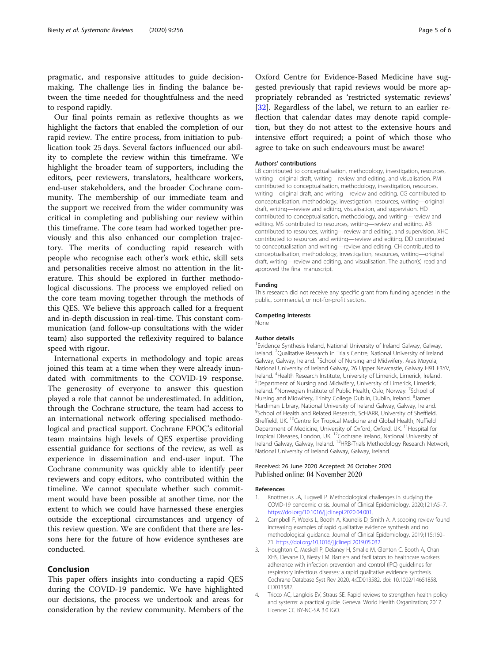<span id="page-4-0"></span>pragmatic, and responsive attitudes to guide decisionmaking. The challenge lies in finding the balance between the time needed for thoughtfulness and the need to respond rapidly.

Our final points remain as reflexive thoughts as we highlight the factors that enabled the completion of our rapid review. The entire process, from initiation to publication took 25 days. Several factors influenced our ability to complete the review within this timeframe. We highlight the broader team of supporters, including the editors, peer reviewers, translators, healthcare workers, end-user stakeholders, and the broader Cochrane community. The membership of our immediate team and the support we received from the wider community was critical in completing and publishing our review within this timeframe. The core team had worked together previously and this also enhanced our completion trajectory. The merits of conducting rapid research with people who recognise each other's work ethic, skill sets and personalities receive almost no attention in the literature. This should be explored in further methodological discussions. The process we employed relied on the core team moving together through the methods of this QES. We believe this approach called for a frequent and in-depth discussion in real-time. This constant communication (and follow-up consultations with the wider team) also supported the reflexivity required to balance speed with rigour.

International experts in methodology and topic areas joined this team at a time when they were already inundated with commitments to the COVID-19 response. The generosity of everyone to answer this question played a role that cannot be underestimated. In addition, through the Cochrane structure, the team had access to an international network offering specialised methodological and practical support. Cochrane EPOC's editorial team maintains high levels of QES expertise providing essential guidance for sections of the review, as well as experience in dissemination and end-user input. The Cochrane community was quickly able to identify peer reviewers and copy editors, who contributed within the timeline. We cannot speculate whether such commitment would have been possible at another time, nor the extent to which we could have harnessed these energies outside the exceptional circumstances and urgency of this review question. We are confident that there are lessons here for the future of how evidence syntheses are conducted.

# Conclusion

This paper offers insights into conducting a rapid QES during the COVID-19 pandemic. We have highlighted our decisions, the process we undertook and areas for consideration by the review community. Members of the Oxford Centre for Evidence-Based Medicine have suggested previously that rapid reviews would be more appropriately rebranded as 'restricted systematic reviews' [[32\]](#page-5-0). Regardless of the label, we return to an earlier reflection that calendar dates may denote rapid completion, but they do not attest to the extensive hours and intensive effort required; a point of which those who agree to take on such endeavours must be aware!

#### Authors' contributions

LB contributed to conceptualisation, methodology, investigation, resources, writing—original draft, writing—review and editing, and visualisation. PM contributed to conceptualisation, methodology, investigation, resources, writing—original draft, and writing—review and editing. CG contributed to conceptualisation, methodology, investigation, resources, writing—original draft, writing—review and editing, visualisation, and supervision. HD contributed to conceptualisation, methodology, and writing—review and editing. MS contributed to resources, writing—review and editing. AB contributed to resources, writing—review and editing, and supervision. XHC contributed to resources and writing—review and editing. DD contributed to conceptualisation and writing—review and editing. CH contributed to conceptualisation, methodology, investigation, resources, writing—original draft, writing—review and editing, and visualisation. The author(s) read and approved the final manuscript.

#### Funding

This research did not receive any specific grant from funding agencies in the public, commercial, or not-for-profit sectors.

#### Competing interests

None

#### Author details

<sup>1</sup> Evidence Synthesis Ireland, National University of Ireland Galway, Galway, Ireland. <sup>2</sup>Qualitative Research in Trials Centre, National University of Ireland Galway, Galway, Ireland. <sup>3</sup>School of Nursing and Midwifery, Aras Moyola, National University of Ireland Galway, 26 Upper Newcastle, Galway H91 E3YV, Ireland. <sup>4</sup> Health Research Institute, University of Limerick, Limerick, Ireland <sup>5</sup>Department of Nursing and Midwifery, University of Limerick, Limerick, Ireland. <sup>6</sup>Norwegian Institute of Public Health, Oslo, Norway. <sup>7</sup>School of Nursing and Midwifery, Trinity College Dublin, Dublin, Ireland. <sup>8</sup>James Hardiman Library, National University of Ireland Galway, Galway, Ireland. <sup>9</sup>School of Health and Related Research, ScHARR, University of Sheffield, Sheffield, UK. <sup>10</sup>Centre for Tropical Medicine and Global Health, Nuffield Department of Medicine, University of Oxford, Oxford, UK.<sup>11</sup>Hospital for Tropical Diseases, London, UK. 12Cochrane Ireland, National University of Ireland Galway, Galway, Ireland. 13HRB-Trials Methodology Research Network, National University of Ireland Galway, Galway, Ireland.

# Received: 26 June 2020 Accepted: 26 October 2020 Published online: 04 November 2020

#### References

- 1. Knottnerus JA, Tugwell P. Methodological challenges in studying the COVID-19 pandemic crisis. Journal of Clinical Epidemiology. 2020;121:A5–7. [https://doi.org/10.1016/j.jclinepi.2020.04.001.](https://doi.org/10.1016/j.jclinepi.2020.04.001)
- 2. Campbell F, Weeks L, Booth A, Kaunelis D, Smith A. A scoping review found increasing examples of rapid qualitative evidence synthesis and no methodological guidance. Journal of Clinical Epidemiology. 2019;115:160– 71. <https://doi.org/10.1016/j.jclinepi.2019.05.032>.
- 3. Houghton C, Meskell P, Delaney H, Smalle M, Glenton C, Booth A, Chan XHS, Devane D, Biesty LM. Barriers and facilitators to healthcare workers' adherence with infection prevention and control (IPC) guidelines for respiratory infectious diseases: a rapid qualitative evidence synthesis. Cochrane Database Syst Rev 2020, 4:CD013582. doi: 10.1002/14651858. CD013582.
- 4. Tricco AC, Langlois EV, Straus SE. Rapid reviews to strengthen health policy and systems: a practical guide. Geneva: World Health Organization; 2017. Licence: CC BY-NC-SA 3.0 IGO.